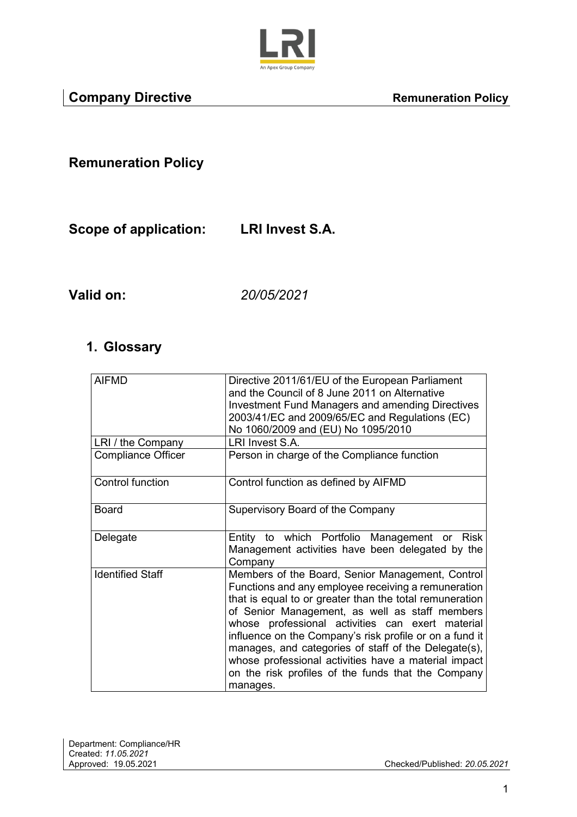

**Remuneration Policy** 

**Scope of application: LRI Invest S.A.**

**Valid on:** *20/05/2021*

#### **1. Glossary**

| <b>AIFMD</b>              | Directive 2011/61/EU of the European Parliament<br>and the Council of 8 June 2011 on Alternative<br><b>Investment Fund Managers and amending Directives</b><br>2003/41/EC and 2009/65/EC and Regulations (EC)<br>No 1060/2009 and (EU) No 1095/2010                                                                                                                                                                                                                                                                   |
|---------------------------|-----------------------------------------------------------------------------------------------------------------------------------------------------------------------------------------------------------------------------------------------------------------------------------------------------------------------------------------------------------------------------------------------------------------------------------------------------------------------------------------------------------------------|
| LRI / the Company         | LRI Invest S.A.                                                                                                                                                                                                                                                                                                                                                                                                                                                                                                       |
| <b>Compliance Officer</b> | Person in charge of the Compliance function                                                                                                                                                                                                                                                                                                                                                                                                                                                                           |
| Control function          | Control function as defined by AIFMD                                                                                                                                                                                                                                                                                                                                                                                                                                                                                  |
| <b>Board</b>              | Supervisory Board of the Company                                                                                                                                                                                                                                                                                                                                                                                                                                                                                      |
| Delegate                  | Entity to which Portfolio Management or Risk<br>Management activities have been delegated by the<br>Company                                                                                                                                                                                                                                                                                                                                                                                                           |
| <b>Identified Staff</b>   | Members of the Board, Senior Management, Control<br>Functions and any employee receiving a remuneration<br>that is equal to or greater than the total remuneration<br>of Senior Management, as well as staff members<br>whose professional activities can exert material<br>influence on the Company's risk profile or on a fund it<br>manages, and categories of staff of the Delegate(s),<br>whose professional activities have a material impact<br>on the risk profiles of the funds that the Company<br>manages. |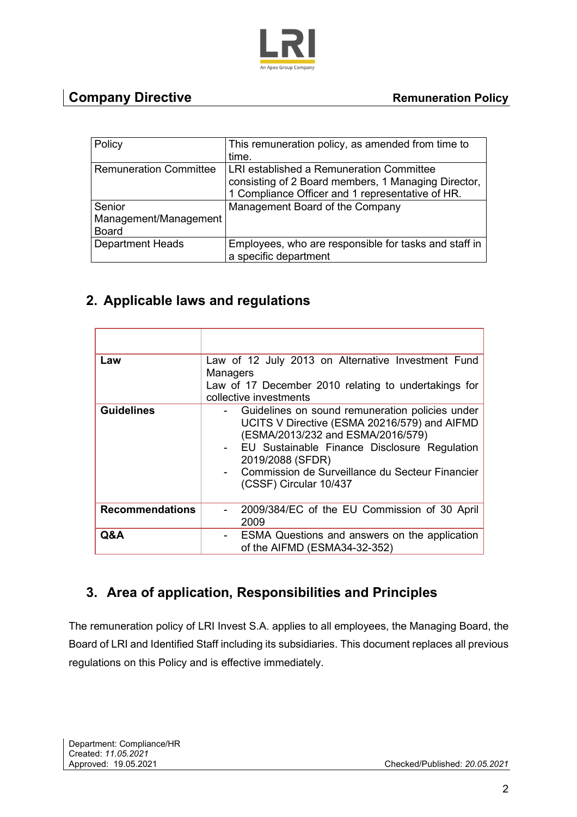

## **Company Directive** <br> **Remuneration Policy**

| Policy                        | This remuneration policy, as amended from time to     |  |
|-------------------------------|-------------------------------------------------------|--|
|                               | time.                                                 |  |
| <b>Remuneration Committee</b> | LRI established a Remuneration Committee              |  |
|                               | consisting of 2 Board members, 1 Managing Director,   |  |
|                               | 1 Compliance Officer and 1 representative of HR.      |  |
| Senior                        | Management Board of the Company                       |  |
| Management/Management         |                                                       |  |
| <b>Board</b>                  |                                                       |  |
| <b>Department Heads</b>       | Employees, who are responsible for tasks and staff in |  |
|                               | a specific department                                 |  |

### **2. Applicable laws and regulations**

| Law                    | Law of 12 July 2013 on Alternative Investment Fund<br><b>Managers</b><br>Law of 17 December 2010 relating to undertakings for<br>collective investments                                                                                                                                   |
|------------------------|-------------------------------------------------------------------------------------------------------------------------------------------------------------------------------------------------------------------------------------------------------------------------------------------|
| <b>Guidelines</b>      | Guidelines on sound remuneration policies under<br>UCITS V Directive (ESMA 20216/579) and AIFMD<br>(ESMA/2013/232 and ESMA/2016/579)<br>- EU Sustainable Finance Disclosure Regulation<br>2019/2088 (SFDR)<br>- Commission de Surveillance du Secteur Financier<br>(CSSF) Circular 10/437 |
| <b>Recommendations</b> | 2009/384/EC of the EU Commission of 30 April<br>2009                                                                                                                                                                                                                                      |
| Q&A                    | ESMA Questions and answers on the application<br>of the AIFMD (ESMA34-32-352)                                                                                                                                                                                                             |

## **3. Area of application, Responsibilities and Principles**

The remuneration policy of LRI Invest S.A. applies to all employees, the Managing Board, the Board of LRI and Identified Staff including its subsidiaries. This document replaces all previous regulations on this Policy and is effective immediately.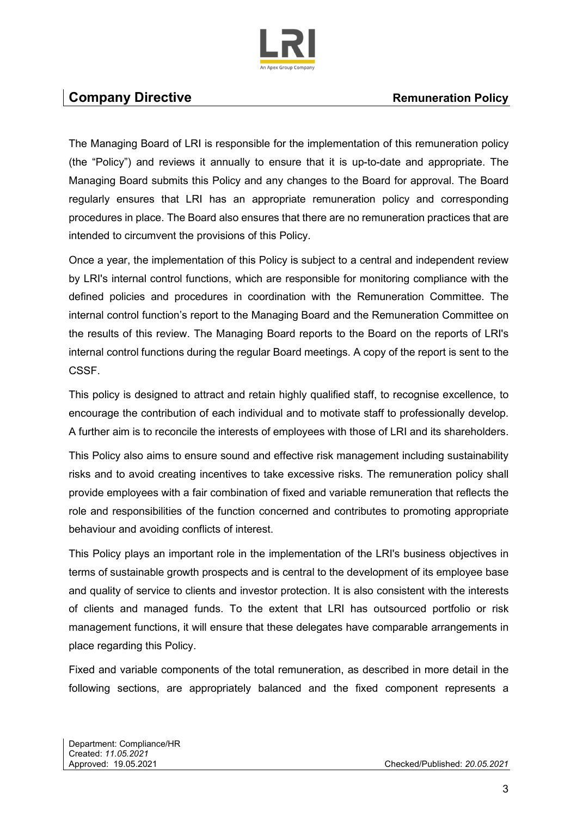

### **Company Directive Company Directive Remuneration Policy Remuneration Policy**

The Managing Board of LRI is responsible for the implementation of this remuneration policy (the "Policy") and reviews it annually to ensure that it is up-to-date and appropriate. The Managing Board submits this Policy and any changes to the Board for approval. The Board regularly ensures that LRI has an appropriate remuneration policy and corresponding procedures in place. The Board also ensures that there are no remuneration practices that are intended to circumvent the provisions of this Policy.

Once a year, the implementation of this Policy is subject to a central and independent review by LRI's internal control functions, which are responsible for monitoring compliance with the defined policies and procedures in coordination with the Remuneration Committee. The internal control function's report to the Managing Board and the Remuneration Committee on the results of this review. The Managing Board reports to the Board on the reports of LRI's internal control functions during the regular Board meetings. A copy of the report is sent to the CSSF.

This policy is designed to attract and retain highly qualified staff, to recognise excellence, to encourage the contribution of each individual and to motivate staff to professionally develop. A further aim is to reconcile the interests of employees with those of LRI and its shareholders.

This Policy also aims to ensure sound and effective risk management including sustainability risks and to avoid creating incentives to take excessive risks. The remuneration policy shall provide employees with a fair combination of fixed and variable remuneration that reflects the role and responsibilities of the function concerned and contributes to promoting appropriate behaviour and avoiding conflicts of interest.

This Policy plays an important role in the implementation of the LRI's business objectives in terms of sustainable growth prospects and is central to the development of its employee base and quality of service to clients and investor protection. It is also consistent with the interests of clients and managed funds. To the extent that LRI has outsourced portfolio or risk management functions, it will ensure that these delegates have comparable arrangements in place regarding this Policy.

Fixed and variable components of the total remuneration, as described in more detail in the following sections, are appropriately balanced and the fixed component represents a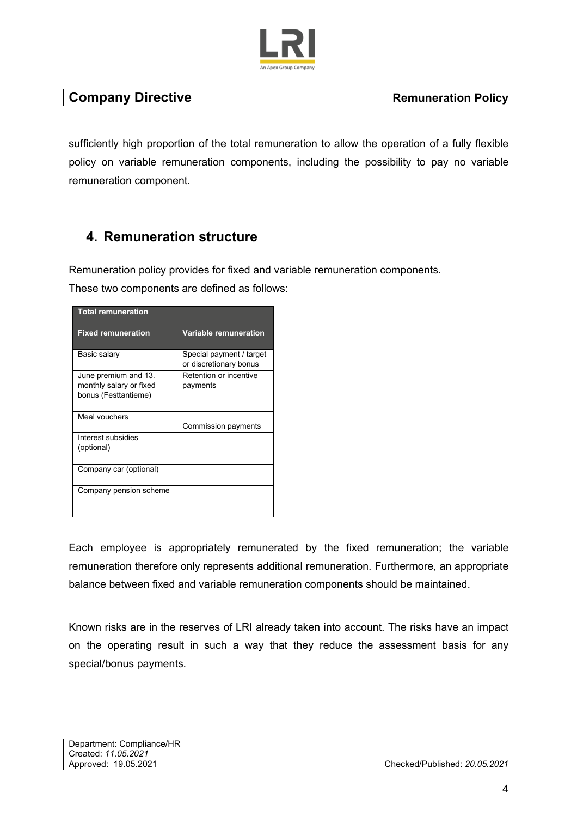

sufficiently high proportion of the total remuneration to allow the operation of a fully flexible policy on variable remuneration components, including the possibility to pay no variable remuneration component.

## **4. Remuneration structure**

Remuneration policy provides for fixed and variable remuneration components.

These two components are defined as follows:

| <b>Total remuneration</b>                                               |                                                    |  |  |
|-------------------------------------------------------------------------|----------------------------------------------------|--|--|
| <b>Fixed remuneration</b>                                               | <b>Variable remuneration</b>                       |  |  |
| Basic salary                                                            | Special payment / target<br>or discretionary bonus |  |  |
| June premium and 13.<br>monthly salary or fixed<br>bonus (Festtantieme) | Retention or incentive<br>payments                 |  |  |
| Meal vouchers                                                           | Commission payments                                |  |  |
| Interest subsidies<br>(optional)                                        |                                                    |  |  |
| Company car (optional)                                                  |                                                    |  |  |
| Company pension scheme                                                  |                                                    |  |  |

Each employee is appropriately remunerated by the fixed remuneration; the variable remuneration therefore only represents additional remuneration. Furthermore, an appropriate balance between fixed and variable remuneration components should be maintained.

Known risks are in the reserves of LRI already taken into account. The risks have an impact on the operating result in such a way that they reduce the assessment basis for any special/bonus payments.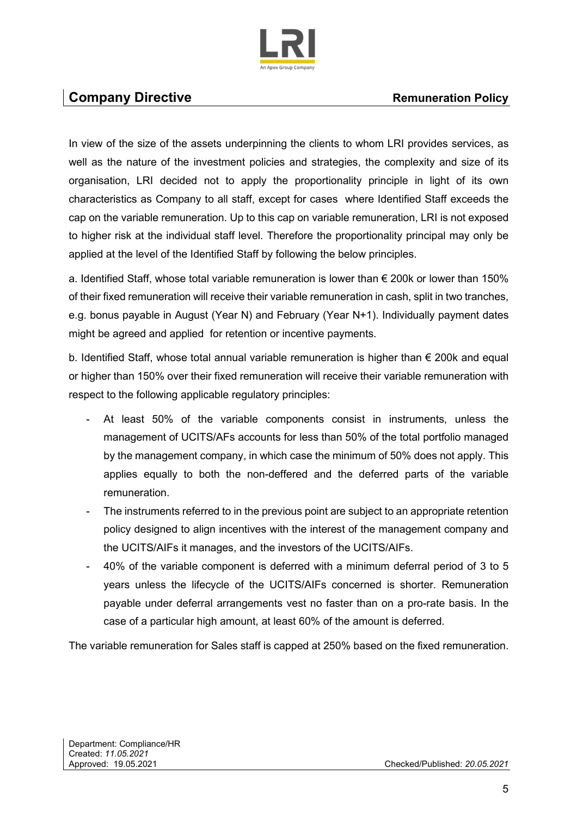

### **Company Directive Company Directive Remuneration Policy Remuneration Policy**

In view of the size of the assets underpinning the clients to whom LRI provides services, as well as the nature of the investment policies and strategies, the complexity and size of its organisation, LRI decided not to apply the proportionality principle in light of its own characteristics as Company to all staff, except for cases where Identified Staff exceeds the cap on the variable remuneration. Up to this cap on variable remuneration, LRI is not exposed to higher risk at the individual staff level. Therefore the proportionality principal may only be applied at the level of the Identified Staff by following the below principles.

a. Identified Staff, whose total variable remuneration is lower than € 200k or lower than 150% of their fixed remuneration will receive their variable remuneration in cash, split in two tranches, e.g. bonus payable in August (Year N) and February (Year N+1). Individually payment dates might be agreed and applied for retention or incentive payments.

b. Identified Staff, whose total annual variable remuneration is higher than  $\epsilon$  200k and equal or higher than 150% over their fixed remuneration will receive their variable remuneration with respect to the following applicable regulatory principles:

- At least 50% of the variable components consist in instruments, unless the management of UCITS/AFs accounts for less than 50% of the total portfolio managed by the management company, in which case the minimum of 50% does not apply. This applies equally to both the non-deffered and the deferred parts of the variable remuneration.
- The instruments referred to in the previous point are subject to an appropriate retention policy designed to align incentives with the interest of the management company and the UCITS/AIFs it manages, and the investors of the UCITS/AIFs.
- 40% of the variable component is deferred with a minimum deferral period of 3 to 5 years unless the lifecycle of the UCITS/AIFs concerned is shorter. Remuneration payable under deferral arrangements vest no faster than on a pro-rate basis. In the case of a particular high amount, at least 60% of the amount is deferred.

The variable remuneration for Sales staff is capped at 250% based on the fixed remuneration.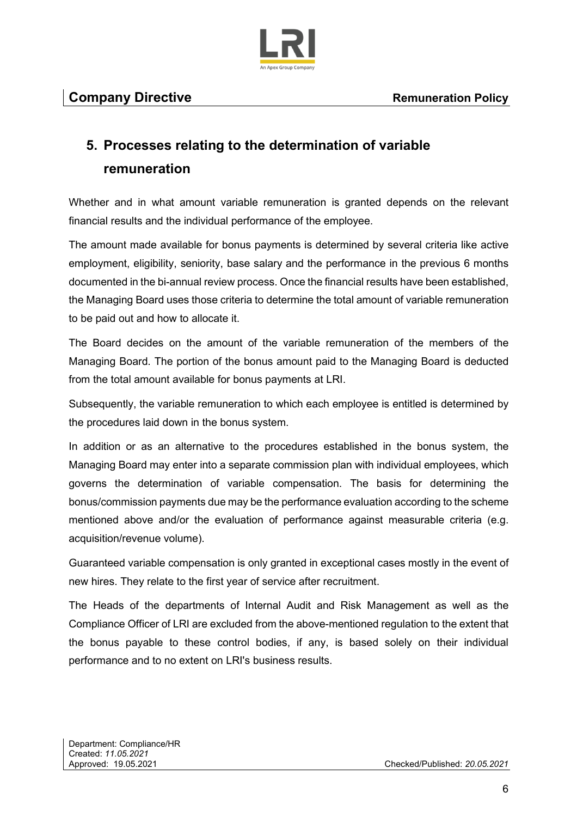

# **5. Processes relating to the determination of variable remuneration**

Whether and in what amount variable remuneration is granted depends on the relevant financial results and the individual performance of the employee.

The amount made available for bonus payments is determined by several criteria like active employment, eligibility, seniority, base salary and the performance in the previous 6 months documented in the bi-annual review process. Once the financial results have been established, the Managing Board uses those criteria to determine the total amount of variable remuneration to be paid out and how to allocate it.

The Board decides on the amount of the variable remuneration of the members of the Managing Board. The portion of the bonus amount paid to the Managing Board is deducted from the total amount available for bonus payments at LRI.

Subsequently, the variable remuneration to which each employee is entitled is determined by the procedures laid down in the bonus system.

In addition or as an alternative to the procedures established in the bonus system, the Managing Board may enter into a separate commission plan with individual employees, which governs the determination of variable compensation. The basis for determining the bonus/commission payments due may be the performance evaluation according to the scheme mentioned above and/or the evaluation of performance against measurable criteria (e.g. acquisition/revenue volume).

Guaranteed variable compensation is only granted in exceptional cases mostly in the event of new hires. They relate to the first year of service after recruitment.

The Heads of the departments of Internal Audit and Risk Management as well as the Compliance Officer of LRI are excluded from the above-mentioned regulation to the extent that the bonus payable to these control bodies, if any, is based solely on their individual performance and to no extent on LRI's business results.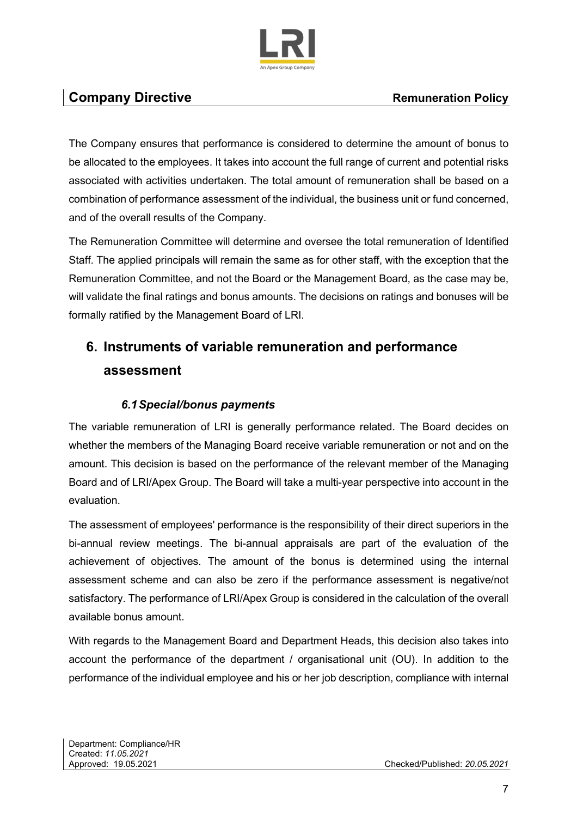

# **Company Directive Company Directive Remuneration Policy Remuneration Policy**

The Company ensures that performance is considered to determine the amount of bonus to be allocated to the employees. It takes into account the full range of current and potential risks associated with activities undertaken. The total amount of remuneration shall be based on a combination of performance assessment of the individual, the business unit or fund concerned, and of the overall results of the Company.

The Remuneration Committee will determine and oversee the total remuneration of Identified Staff. The applied principals will remain the same as for other staff, with the exception that the Remuneration Committee, and not the Board or the Management Board, as the case may be, will validate the final ratings and bonus amounts. The decisions on ratings and bonuses will be formally ratified by the Management Board of LRI.

# **6. Instruments of variable remuneration and performance assessment**

#### *6.1 Special/bonus payments*

The variable remuneration of LRI is generally performance related. The Board decides on whether the members of the Managing Board receive variable remuneration or not and on the amount. This decision is based on the performance of the relevant member of the Managing Board and of LRI/Apex Group. The Board will take a multi-year perspective into account in the evaluation.

The assessment of employees' performance is the responsibility of their direct superiors in the bi-annual review meetings. The bi-annual appraisals are part of the evaluation of the achievement of objectives. The amount of the bonus is determined using the internal assessment scheme and can also be zero if the performance assessment is negative/not satisfactory. The performance of LRI/Apex Group is considered in the calculation of the overall available bonus amount.

With regards to the Management Board and Department Heads, this decision also takes into account the performance of the department / organisational unit (OU). In addition to the performance of the individual employee and his or her job description, compliance with internal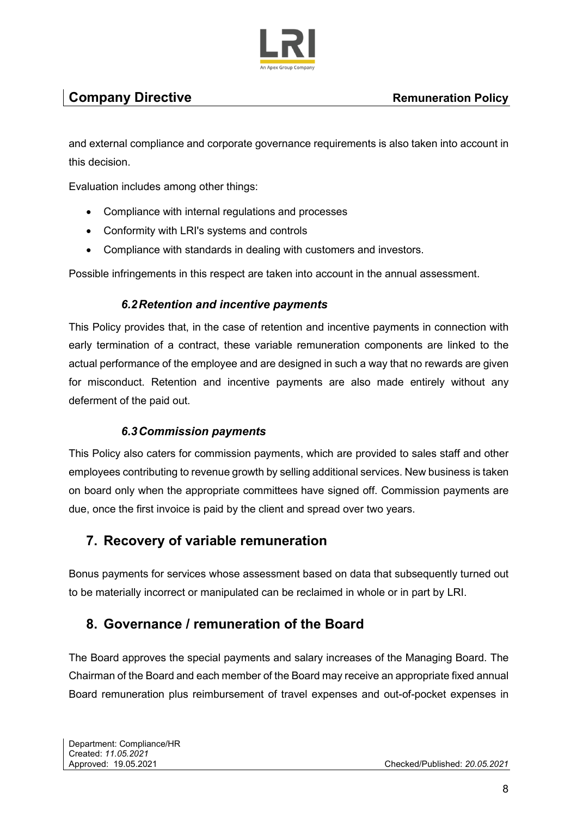

# **Company Directive Company Directive Remuneration Policy Remuneration Policy Remuneration Policy**

and external compliance and corporate governance requirements is also taken into account in this decision.

Evaluation includes among other things:

- Compliance with internal regulations and processes
- Conformity with LRI's systems and controls
- Compliance with standards in dealing with customers and investors.

Possible infringements in this respect are taken into account in the annual assessment.

#### *6.2 Retention and incentive payments*

This Policy provides that, in the case of retention and incentive payments in connection with early termination of a contract, these variable remuneration components are linked to the actual performance of the employee and are designed in such a way that no rewards are given for misconduct. Retention and incentive payments are also made entirely without any deferment of the paid out.

#### *6.3 Commission payments*

This Policy also caters for commission payments, which are provided to sales staff and other employees contributing to revenue growth by selling additional services. New business is taken on board only when the appropriate committees have signed off. Commission payments are due, once the first invoice is paid by the client and spread over two years.

#### **7. Recovery of variable remuneration**

Bonus payments for services whose assessment based on data that subsequently turned out to be materially incorrect or manipulated can be reclaimed in whole or in part by LRI.

#### **8. Governance / remuneration of the Board**

The Board approves the special payments and salary increases of the Managing Board. The Chairman of the Board and each member of the Board may receive an appropriate fixed annual Board remuneration plus reimbursement of travel expenses and out-of-pocket expenses in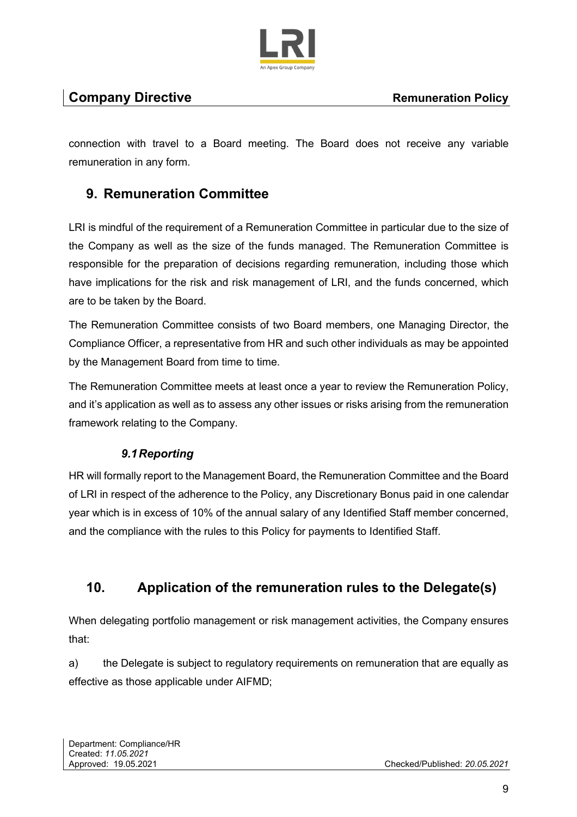

connection with travel to a Board meeting. The Board does not receive any variable remuneration in any form.

# **9. Remuneration Committee**

LRI is mindful of the requirement of a Remuneration Committee in particular due to the size of the Company as well as the size of the funds managed. The Remuneration Committee is responsible for the preparation of decisions regarding remuneration, including those which have implications for the risk and risk management of LRI, and the funds concerned, which are to be taken by the Board.

The Remuneration Committee consists of two Board members, one Managing Director, the Compliance Officer, a representative from HR and such other individuals as may be appointed by the Management Board from time to time.

The Remuneration Committee meets at least once a year to review the Remuneration Policy, and it's application as well as to assess any other issues or risks arising from the remuneration framework relating to the Company.

#### *9.1 Reporting*

HR will formally report to the Management Board, the Remuneration Committee and the Board of LRI in respect of the adherence to the Policy, any Discretionary Bonus paid in one calendar year which is in excess of 10% of the annual salary of any Identified Staff member concerned, and the compliance with the rules to this Policy for payments to Identified Staff.

# **10. Application of the remuneration rules to the Delegate(s)**

When delegating portfolio management or risk management activities, the Company ensures that:

a) the Delegate is subject to regulatory requirements on remuneration that are equally as effective as those applicable under AIFMD;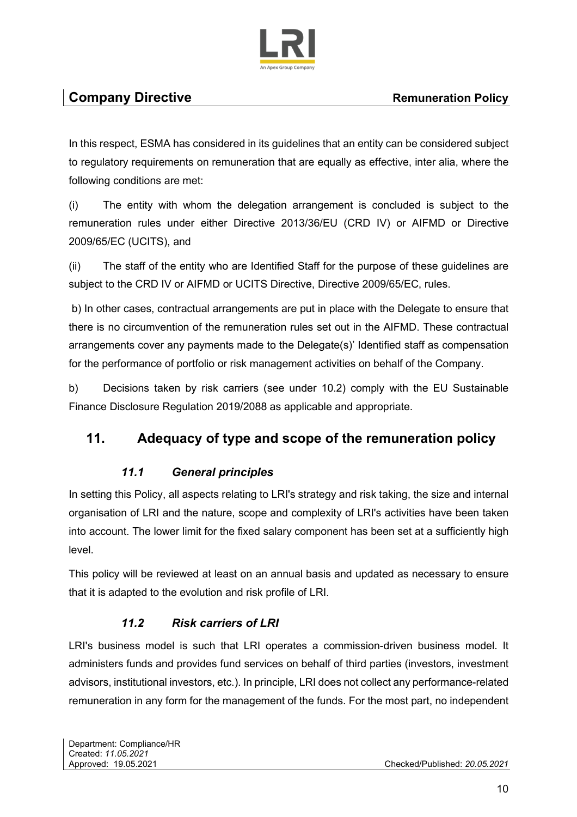

In this respect, ESMA has considered in its guidelines that an entity can be considered subject to regulatory requirements on remuneration that are equally as effective, inter alia, where the following conditions are met:

(i) The entity with whom the delegation arrangement is concluded is subject to the remuneration rules under either Directive 2013/36/EU (CRD IV) or AIFMD or Directive 2009/65/EC (UCITS), and

(ii) The staff of the entity who are Identified Staff for the purpose of these guidelines are subject to the CRD IV or AIFMD or UCITS Directive, Directive 2009/65/EC, rules.

 b) In other cases, contractual arrangements are put in place with the Delegate to ensure that there is no circumvention of the remuneration rules set out in the AIFMD. These contractual arrangements cover any payments made to the Delegate(s)' Identified staff as compensation for the performance of portfolio or risk management activities on behalf of the Company.

b) Decisions taken by risk carriers (see under 10.2) comply with the EU Sustainable Finance Disclosure Regulation 2019/2088 as applicable and appropriate.

# **11. Adequacy of type and scope of the remuneration policy**

#### *11.1 General principles*

In setting this Policy, all aspects relating to LRI's strategy and risk taking, the size and internal organisation of LRI and the nature, scope and complexity of LRI's activities have been taken into account. The lower limit for the fixed salary component has been set at a sufficiently high level.

This policy will be reviewed at least on an annual basis and updated as necessary to ensure that it is adapted to the evolution and risk profile of LRI.

#### *11.2 Risk carriers of LRI*

LRI's business model is such that LRI operates a commission-driven business model. It administers funds and provides fund services on behalf of third parties (investors, investment advisors, institutional investors, etc.). In principle, LRI does not collect any performance-related remuneration in any form for the management of the funds. For the most part, no independent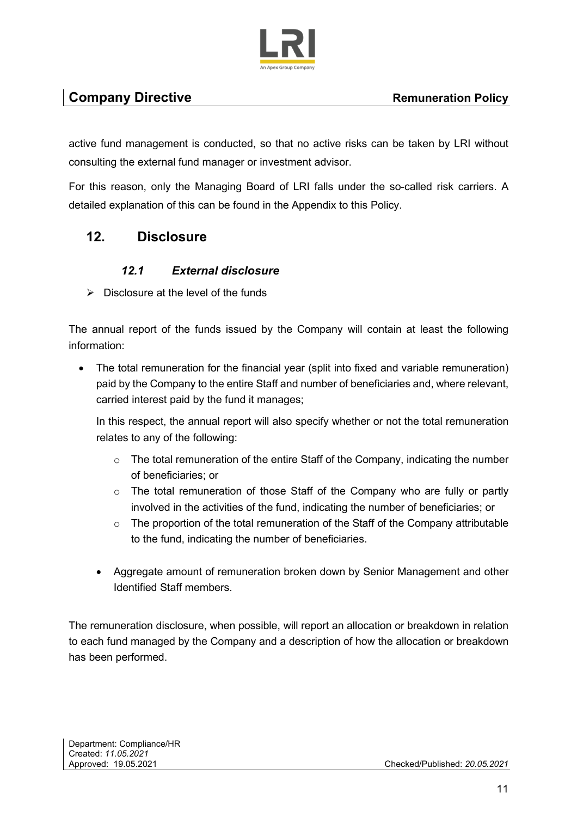

# **Company Directive Company Directive Remuneration Policy Remuneration Policy Remuneration Policy**

active fund management is conducted, so that no active risks can be taken by LRI without consulting the external fund manager or investment advisor.

For this reason, only the Managing Board of LRI falls under the so-called risk carriers. A detailed explanation of this can be found in the Appendix to this Policy.

### **12. Disclosure**

#### *12.1 External disclosure*

 $\triangleright$  Disclosure at the level of the funds

The annual report of the funds issued by the Company will contain at least the following information:

The total remuneration for the financial year (split into fixed and variable remuneration) paid by the Company to the entire Staff and number of beneficiaries and, where relevant, carried interest paid by the fund it manages;

In this respect, the annual report will also specify whether or not the total remuneration relates to any of the following:

- $\circ$  The total remuneration of the entire Staff of the Company, indicating the number of beneficiaries; or
- o The total remuneration of those Staff of the Company who are fully or partly involved in the activities of the fund, indicating the number of beneficiaries; or
- $\circ$  The proportion of the total remuneration of the Staff of the Company attributable to the fund, indicating the number of beneficiaries.
- Aggregate amount of remuneration broken down by Senior Management and other Identified Staff members.

The remuneration disclosure, when possible, will report an allocation or breakdown in relation to each fund managed by the Company and a description of how the allocation or breakdown has been performed.